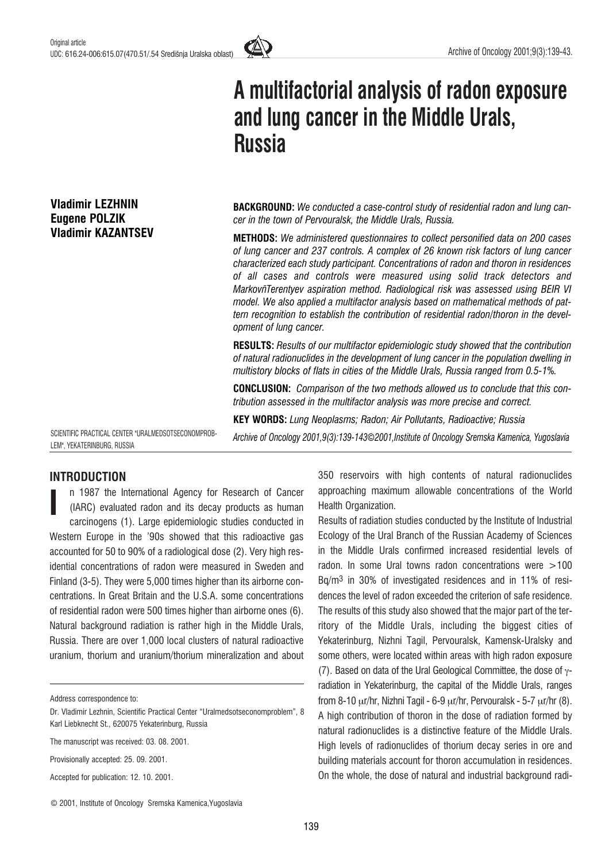

# A multifactorial analysis of radon exposure and lung cancer in the Middle Urals, **Russia**

**BACKGROUND:** We conducted a case-control study of residential radon and lung cancer in the town of Pervouralsk, the Middle Urals, Russia.

METHODS: We administered questionnaires to collect personified data on 200 cases of lung cancer and 237 controls. A complex of 26 known risk factors of lung cancer characterized each study participant. Concentrations of radon and thoron in residences of all cases and controls were measured using solid track detectors and MarkovñTerentyev aspiration method. Radiological risk was assessed using BEIR VI model. We also applied a multifactor analysis based on mathematical methods of pattern recognition to establish the contribution of residential radon/thoron in the development of lung cancer.

RESULTS: Results of our multifactor epidemiologic study showed that the contribution of natural radionuclides in the development of lung cancer in the population dwelling in multistory blocks of flats in cities of the Middle Urals, Russia ranged from 0.5-1%.

CONCLUSION: Comparison of the two methods allowed us to conclude that this contribution assessed in the multifactor analysis was more precise and correct.

KEY WORDS: Lung Neoplasms; Radon; Air Pollutants, Radioactive; Russia

Archive of Oncology 2001,9(3):139-143*©*2001,Institute of Oncology Sremska Kamenica, Yugoslavia

SCIENTIFIC PRACTICAL CENTER "URALMEDSOTSECONOMPROB-LEM", YEKATERINBURG, RUSSIA

# INTRODUCTION

Vladimir LEZHNIN Eugene POLZIK Vladimir KAZANTSEV

n 1987 the International Agency for Research of Cancer (IARC) evaluated radon and its decay products as human carcinogens (1). Large epidemiologic studies conducted in Western Europe in the '90s showed that this radioactive gas accounted for 50 to 90% of a radiological dose (2). Very high residential concentrations of radon were measured in Sweden and Finland (3-5). They were 5,000 times higher than its airborne concentrations. In Great Britain and the U.S.A. some concentrations of residential radon were 500 times higher than airborne ones (6). Natural background radiation is rather high in the Middle Urals, Russia. There are over 1,000 local clusters of natural radioactive uranium, thorium and uranium/thorium mineralization and about I

Address correspondence to:

Provisionally accepted: 25. 09. 2001.

Accepted for publication: 12. 10. 2001.

350 reservoirs with high contents of natural radionuclides approaching maximum allowable concentrations of the World Health Organization.

Results of radiation studies conducted by the Institute of Industrial Ecology of the Ural Branch of the Russian Academy of Sciences in the Middle Urals confirmed increased residential levels of radon. In some Ural towns radon concentrations were >100 Bq/m3 in 30% of investigated residences and in 11% of residences the level of radon exceeded the criterion of safe residence. The results of this study also showed that the major part of the territory of the Middle Urals, including the biggest cities of Yekaterinburg, Nizhni Tagil, Pervouralsk, Kamensk-Uralsky and some others, were located within areas with high radon exposure (7). Based on data of the Ural Geological Committee, the dose of  $\gamma$ radiation in Yekaterinburg, the capital of the Middle Urals, ranges from 8-10  $\mu$ r/hr, Nizhni Tagil - 6-9  $\mu$ r/hr, Pervouralsk - 5-7  $\mu$ r/hr (8). A high contribution of thoron in the dose of radiation formed by natural radionuclides is a distinctive feature of the Middle Urals. High levels of radionuclides of thorium decay series in ore and building materials account for thoron accumulation in residences. On the whole, the dose of natural and industrial background radi-

Dr. Vladimir Lezhnin, Scientific Practical Center "Uralmedsotseconomproblem", 8 Karl Liebknecht St., 620075 Yekaterinburg, Russia

The manuscript was received: 03. 08. 2001.

<sup>©</sup> 2001, Institute of Oncology Sremska Kamenica,Yugoslavia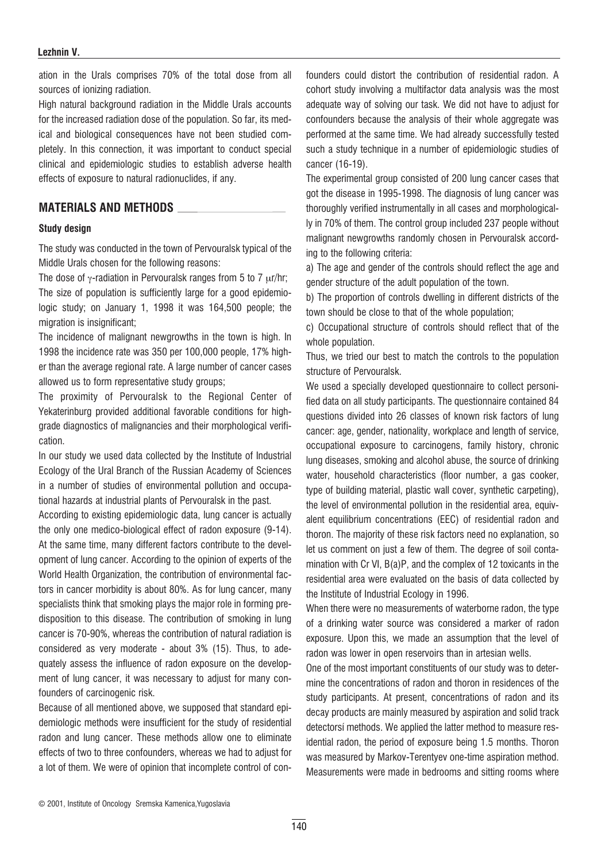#### Lezhnin V.

ation in the Urals comprises 70% of the total dose from all sources of ionizing radiation.

High natural background radiation in the Middle Urals accounts for the increased radiation dose of the population. So far, its medical and biological consequences have not been studied completely. In this connection, it was important to conduct special clinical and epidemiologic studies to establish adverse health effects of exposure to natural radionuclides, if any.

# MATERIALS AND METHODS

#### Study design

The study was conducted in the town of Pervouralsk typical of the Middle Urals chosen for the following reasons:

The dose of  $\gamma$ -radiation in Pervouralsk ranges from 5 to 7  $\mu$ r/hr; The size of population is sufficiently large for a good epidemiologic study; on January 1, 1998 it was 164,500 people; the migration is insignificant:

The incidence of malignant newgrowths in the town is high. In 1998 the incidence rate was 350 per 100,000 people, 17% higher than the average regional rate. A large number of cancer cases allowed us to form representative study groups;

The proximity of Pervouralsk to the Regional Center of Yekaterinburg provided additional favorable conditions for highgrade diagnostics of malignancies and their morphological verification.

In our study we used data collected by the Institute of Industrial Ecology of the Ural Branch of the Russian Academy of Sciences in a number of studies of environmental pollution and occupational hazards at industrial plants of Pervouralsk in the past.

According to existing epidemiologic data, lung cancer is actually the only one medico-biological effect of radon exposure (9-14). At the same time, many different factors contribute to the development of lung cancer. According to the opinion of experts of the World Health Organization, the contribution of environmental factors in cancer morbidity is about 80%. As for lung cancer, many specialists think that smoking plays the major role in forming predisposition to this disease. The contribution of smoking in lung cancer is 70-90%, whereas the contribution of natural radiation is considered as very moderate - about 3% (15). Thus, to adequately assess the influence of radon exposure on the development of lung cancer, it was necessary to adjust for many confounders of carcinogenic risk.

Because of all mentioned above, we supposed that standard epidemiologic methods were insufficient for the study of residential radon and lung cancer. These methods allow one to eliminate effects of two to three confounders, whereas we had to adjust for a lot of them. We were of opinion that incomplete control of confounders could distort the contribution of residential radon. A cohort study involving a multifactor data analysis was the most adequate way of solving our task. We did not have to adjust for confounders because the analysis of their whole aggregate was performed at the same time. We had already successfully tested such a study technique in a number of epidemiologic studies of cancer (16-19).

The experimental group consisted of 200 lung cancer cases that got the disease in 1995-1998. The diagnosis of lung cancer was thoroughly verified instrumentally in all cases and morphologically in 70% of them. The control group included 237 people without malignant newgrowths randomly chosen in Pervouralsk according to the following criteria:

a) The age and gender of the controls should reflect the age and gender structure of the adult population of the town.

b) The proportion of controls dwelling in different districts of the town should be close to that of the whole population;

c) Occupational structure of controls should reflect that of the whole population.

Thus, we tried our best to match the controls to the population structure of Pervouralsk.

We used a specially developed questionnaire to collect personified data on all study participants. The questionnaire contained 84 questions divided into 26 classes of known risk factors of lung cancer: age, gender, nationality, workplace and length of service, occupational exposure to carcinogens, family history, chronic lung diseases, smoking and alcohol abuse, the source of drinking water, household characteristics (floor number, a gas cooker, type of building material, plastic wall cover, synthetic carpeting), the level of environmental pollution in the residential area, equivalent equilibrium concentrations (EEC) of residential radon and thoron. The majority of these risk factors need no explanation, so let us comment on just a few of them. The degree of soil contamination with Cr VI, B(a)P, and the complex of 12 toxicants in the residential area were evaluated on the basis of data collected by the Institute of Industrial Ecology in 1996.

When there were no measurements of waterborne radon, the type of a drinking water source was considered a marker of radon exposure. Upon this, we made an assumption that the level of radon was lower in open reservoirs than in artesian wells.

One of the most important constituents of our study was to determine the concentrations of radon and thoron in residences of the study participants. At present, concentrations of radon and its decay products are mainly measured by aspiration and solid track detectorsí methods. We applied the latter method to measure residential radon, the period of exposure being 1.5 months. Thoron was measured by Markov-Terentyev one-time aspiration method. Measurements were made in bedrooms and sitting rooms where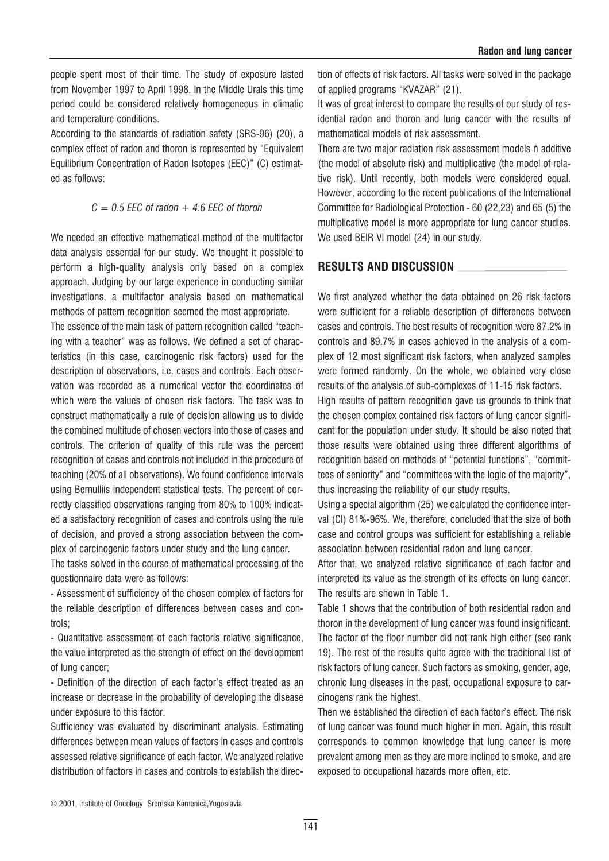people spent most of their time. The study of exposure lasted from November 1997 to April 1998. In the Middle Urals this time period could be considered relatively homogeneous in climatic and temperature conditions.

According to the standards of radiation safety (SRS-96) (20), a complex effect of radon and thoron is represented by "Equivalent Equilibrium Concentration of Radon Isotopes (EEC)" (C) estimated as follows:

## $C = 0.5$  EEC of radon  $+ 4.6$  EEC of thoron

We needed an effective mathematical method of the multifactor data analysis essential for our study. We thought it possible to perform a high-quality analysis only based on a complex approach. Judging by our large experience in conducting similar investigations, a multifactor analysis based on mathematical methods of pattern recognition seemed the most appropriate.

The essence of the main task of pattern recognition called "teaching with a teacher" was as follows. We defined a set of characteristics (in this case, carcinogenic risk factors) used for the description of observations, i.e. cases and controls. Each observation was recorded as a numerical vector the coordinates of which were the values of chosen risk factors. The task was to construct mathematically a rule of decision allowing us to divide the combined multitude of chosen vectors into those of cases and controls. The criterion of quality of this rule was the percent recognition of cases and controls not included in the procedure of teaching (20% of all observations). We found confidence intervals using Bernulliís independent statistical tests. The percent of correctly classified observations ranging from 80% to 100% indicated a satisfactory recognition of cases and controls using the rule of decision, and proved a strong association between the complex of carcinogenic factors under study and the lung cancer.

The tasks solved in the course of mathematical processing of the questionnaire data were as follows:

- Assessment of sufficiency of the chosen complex of factors for the reliable description of differences between cases and controls;

- Quantitative assessment of each factorís relative significance, the value interpreted as the strength of effect on the development of lung cancer;

- Definition of the direction of each factor's effect treated as an increase or decrease in the probability of developing the disease under exposure to this factor.

Sufficiency was evaluated by discriminant analysis. Estimating differences between mean values of factors in cases and controls assessed relative significance of each factor. We analyzed relative distribution of factors in cases and controls to establish the direction of effects of risk factors. All tasks were solved in the package of applied programs "KVAZAR" (21).

It was of great interest to compare the results of our study of residential radon and thoron and lung cancer with the results of mathematical models of risk assessment.

There are two major radiation risk assessment models ñ additive (the model of absolute risk) and multiplicative (the model of relative risk). Until recently, both models were considered equal. However, according to the recent publications of the International Committee for Radiological Protection - 60 (22,23) and 65 (5) the multiplicative model is more appropriate for lung cancer studies. We used BEIR VI model (24) in our study.

# RESULTS AND DISCUSSION

We first analyzed whether the data obtained on 26 risk factors were sufficient for a reliable description of differences between cases and controls. The best results of recognition were 87.2% in controls and 89.7% in cases achieved in the analysis of a complex of 12 most significant risk factors, when analyzed samples were formed randomly. On the whole, we obtained very close results of the analysis of sub-complexes of 11-15 risk factors.

High results of pattern recognition gave us grounds to think that the chosen complex contained risk factors of lung cancer significant for the population under study. It should be also noted that those results were obtained using three different algorithms of recognition based on methods of "potential functions", "committees of seniority" and "committees with the logic of the majority", thus increasing the reliability of our study results.

Using a special algorithm (25) we calculated the confidence interval (CI) 81%-96%. We, therefore, concluded that the size of both case and control groups was sufficient for establishing a reliable association between residential radon and lung cancer.

After that, we analyzed relative significance of each factor and interpreted its value as the strength of its effects on lung cancer. The results are shown in Table 1.

Table 1 shows that the contribution of both residential radon and thoron in the development of lung cancer was found insignificant. The factor of the floor number did not rank high either (see rank 19). The rest of the results quite agree with the traditional list of risk factors of lung cancer. Such factors as smoking, gender, age, chronic lung diseases in the past, occupational exposure to carcinogens rank the highest.

Then we established the direction of each factor's effect. The risk of lung cancer was found much higher in men. Again, this result corresponds to common knowledge that lung cancer is more prevalent among men as they are more inclined to smoke, and are exposed to occupational hazards more often, etc.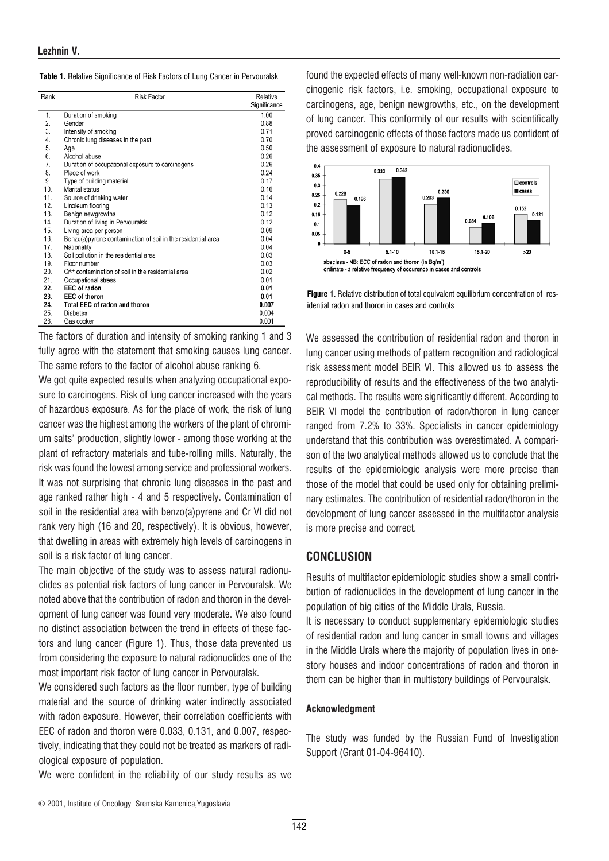|  |  |  |  | <b>Table 1.</b> Relative Significance of Risk Factors of Lung Cancer in Pervouralsk |
|--|--|--|--|-------------------------------------------------------------------------------------|
|--|--|--|--|-------------------------------------------------------------------------------------|

| Rank | <b>Risk Factor</b>                                             | Relative     |
|------|----------------------------------------------------------------|--------------|
|      |                                                                | Significance |
| 1.   | Duration of smoking                                            | 1.00         |
| 2.   | Gender                                                         | 0.88         |
| 3.   | Intensity of smoking                                           | 0.71         |
| 4.   | Chronic lung diseases in the past                              | 0.70         |
| 5.   | Age                                                            | 0.50         |
| 6.   | Alcohol abuse                                                  | 0.26         |
| 7.   | Duration of occupational exposure to carcinogens               | 0.26         |
| 8.   | Place of work                                                  | 0.24         |
| 9.   | Type of building material                                      | 0.17         |
| 10.  | Marital status                                                 | 0.16         |
| 11.  | Source of drinking water                                       | 0.14         |
| 12.  | Linoleum flooring                                              | 0.13         |
| 13.  | Benign newgrowths                                              | 0.12         |
| 14.  | Duration of living in Pervouralsk                              | 0.12         |
| 15.  | Living area per person                                         | 0.09         |
| 16.  | Benzo(a)pyrene contamination of soil in the residential area   | 0.04         |
| 17.  | Nationality                                                    | 0.04         |
| 18.  | Soil pollution in the residential area                         | 0.03         |
| 19.  | Floor number                                                   | 0.03         |
| 20.  | Cr <sup>6+</sup> contamination of soil in the residential area | 0.02         |
| 21.  | Occupational stress                                            | 0.01         |
| 22.  | EEC of radon                                                   | 0.01         |
| 23.  | <b>EEC of thoron</b>                                           | 0.01         |
| 24.  | Total EEC of radon and thoron                                  | 0.007        |
| 25.  | <b>Diabetes</b>                                                | 0.004        |
| 26.  | Gas cooker                                                     | 0.001        |

The factors of duration and intensity of smoking ranking 1 and 3 fully agree with the statement that smoking causes lung cancer. The same refers to the factor of alcohol abuse ranking 6.

We got quite expected results when analyzing occupational exposure to carcinogens. Risk of lung cancer increased with the years of hazardous exposure. As for the place of work, the risk of lung cancer was the highest among the workers of the plant of chromium salts' production, slightly lower - among those working at the plant of refractory materials and tube-rolling mills. Naturally, the risk was found the lowest among service and professional workers. It was not surprising that chronic lung diseases in the past and age ranked rather high - 4 and 5 respectively. Contamination of soil in the residential area with benzo(a)pyrene and Cr VI did not rank very high (16 and 20, respectively). It is obvious, however, that dwelling in areas with extremely high levels of carcinogens in soil is a risk factor of lung cancer.

The main objective of the study was to assess natural radionuclides as potential risk factors of lung cancer in Pervouralsk. We noted above that the contribution of radon and thoron in the development of lung cancer was found very moderate. We also found no distinct association between the trend in effects of these factors and lung cancer (Figure 1). Thus, those data prevented us from considering the exposure to natural radionuclides one of the most important risk factor of lung cancer in Pervouralsk.

We considered such factors as the floor number, type of building material and the source of drinking water indirectly associated with radon exposure. However, their correlation coefficients with EEC of radon and thoron were 0.033, 0.131, and 0.007, respectively, indicating that they could not be treated as markers of radiological exposure of population.

We were confident in the reliability of our study results as we

found the expected effects of many well-known non-radiation carcinogenic risk factors, i.e. smoking, occupational exposure to carcinogens, age, benign newgrowths, etc., on the development of lung cancer. This conformity of our results with scientifically proved carcinogenic effects of those factors made us confident of the assessment of exposure to natural radionuclides.



Figure 1. Relative distribution of total equivalent equilibrium concentration of residential radon and thoron in cases and controls

We assessed the contribution of residential radon and thoron in lung cancer using methods of pattern recognition and radiological risk assessment model BEIR VI. This allowed us to assess the reproducibility of results and the effectiveness of the two analytical methods. The results were significantly different. According to BEIR VI model the contribution of radon/thoron in lung cancer ranged from 7.2% to 33%. Specialists in cancer epidemiology understand that this contribution was overestimated. A comparison of the two analytical methods allowed us to conclude that the results of the epidemiologic analysis were more precise than those of the model that could be used only for obtaining preliminary estimates. The contribution of residential radon/thoron in the development of lung cancer assessed in the multifactor analysis is more precise and correct.

## CONCLUSION

Results of multifactor epidemiologic studies show a small contribution of radionuclides in the development of lung cancer in the population of big cities of the Middle Urals, Russia. It is necessary to conduct supplementary epidemiologic studies of residential radon and lung cancer in small towns and villages in the Middle Urals where the majority of population lives in onestory houses and indoor concentrations of radon and thoron in them can be higher than in multistory buildings of Pervouralsk.

### Acknowledgment

The study was funded by the Russian Fund of Investigation Support (Grant 01-04-96410).